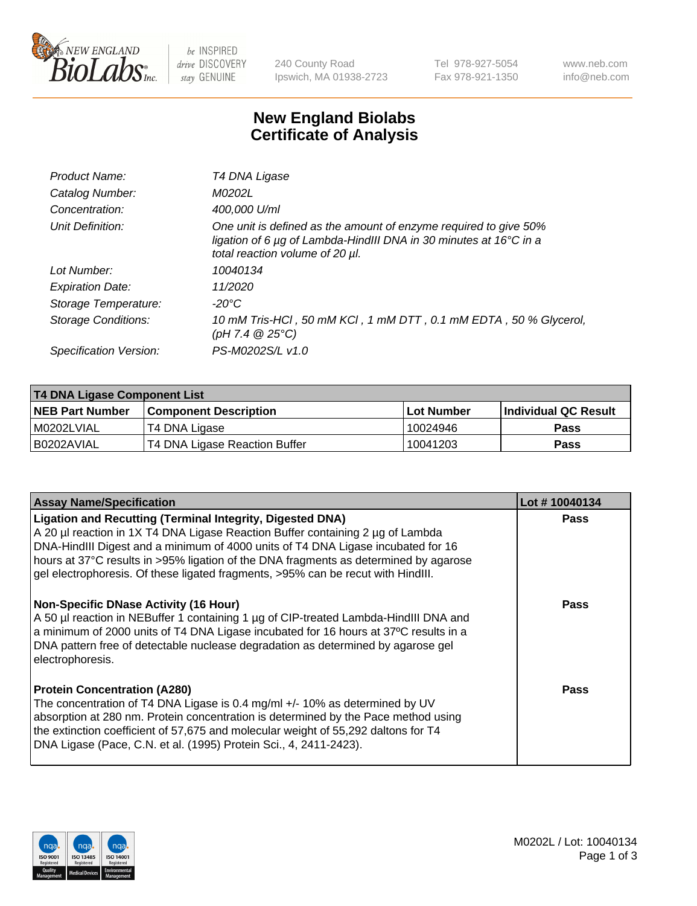

be INSPIRED drive DISCOVERY stay GENUINE

240 County Road Ipswich, MA 01938-2723 Tel 978-927-5054 Fax 978-921-1350 www.neb.com info@neb.com

## **New England Biolabs Certificate of Analysis**

| Product Name:           | T4 DNA Ligase                                                                                                                                                            |
|-------------------------|--------------------------------------------------------------------------------------------------------------------------------------------------------------------------|
| Catalog Number:         | M0202L                                                                                                                                                                   |
| Concentration:          | 400,000 U/ml                                                                                                                                                             |
| Unit Definition:        | One unit is defined as the amount of enzyme required to give 50%<br>ligation of 6 µg of Lambda-HindIII DNA in 30 minutes at 16°C in a<br>total reaction volume of 20 µl. |
| Lot Number:             | 10040134                                                                                                                                                                 |
| <b>Expiration Date:</b> | 11/2020                                                                                                                                                                  |
| Storage Temperature:    | $-20^{\circ}$ C                                                                                                                                                          |
| Storage Conditions:     | 10 mM Tris-HCl, 50 mM KCl, 1 mM DTT, 0.1 mM EDTA, 50 % Glycerol,<br>(pH 7.4 $@25°C$ )                                                                                    |
| Specification Version:  | PS-M0202S/L v1.0                                                                                                                                                         |

| T4 DNA Ligase Component List |                               |              |                             |  |
|------------------------------|-------------------------------|--------------|-----------------------------|--|
| <b>NEB Part Number</b>       | <b>Component Description</b>  | l Lot Number | <b>Individual QC Result</b> |  |
| M0202LVIAL                   | T4 DNA Ligase                 | 10024946     | <b>Pass</b>                 |  |
| I B0202AVIAL                 | T4 DNA Ligase Reaction Buffer | 10041203     | <b>Pass</b>                 |  |

| <b>Assay Name/Specification</b>                                                                                                                                                                                                                                                                                                                                                                                    | Lot #10040134 |
|--------------------------------------------------------------------------------------------------------------------------------------------------------------------------------------------------------------------------------------------------------------------------------------------------------------------------------------------------------------------------------------------------------------------|---------------|
| <b>Ligation and Recutting (Terminal Integrity, Digested DNA)</b><br>A 20 µl reaction in 1X T4 DNA Ligase Reaction Buffer containing 2 µg of Lambda<br>DNA-HindIII Digest and a minimum of 4000 units of T4 DNA Ligase incubated for 16<br>hours at 37°C results in >95% ligation of the DNA fragments as determined by agarose<br>gel electrophoresis. Of these ligated fragments, >95% can be recut with HindIII. | <b>Pass</b>   |
| <b>Non-Specific DNase Activity (16 Hour)</b><br>A 50 µl reaction in NEBuffer 1 containing 1 µg of CIP-treated Lambda-HindIII DNA and<br>a minimum of 2000 units of T4 DNA Ligase incubated for 16 hours at 37°C results in a<br>DNA pattern free of detectable nuclease degradation as determined by agarose gel<br>electrophoresis.                                                                               | <b>Pass</b>   |
| <b>Protein Concentration (A280)</b><br>The concentration of T4 DNA Ligase is 0.4 mg/ml +/- 10% as determined by UV<br>absorption at 280 nm. Protein concentration is determined by the Pace method using<br>the extinction coefficient of 57,675 and molecular weight of 55,292 daltons for T4<br>DNA Ligase (Pace, C.N. et al. (1995) Protein Sci., 4, 2411-2423).                                                | Pass          |

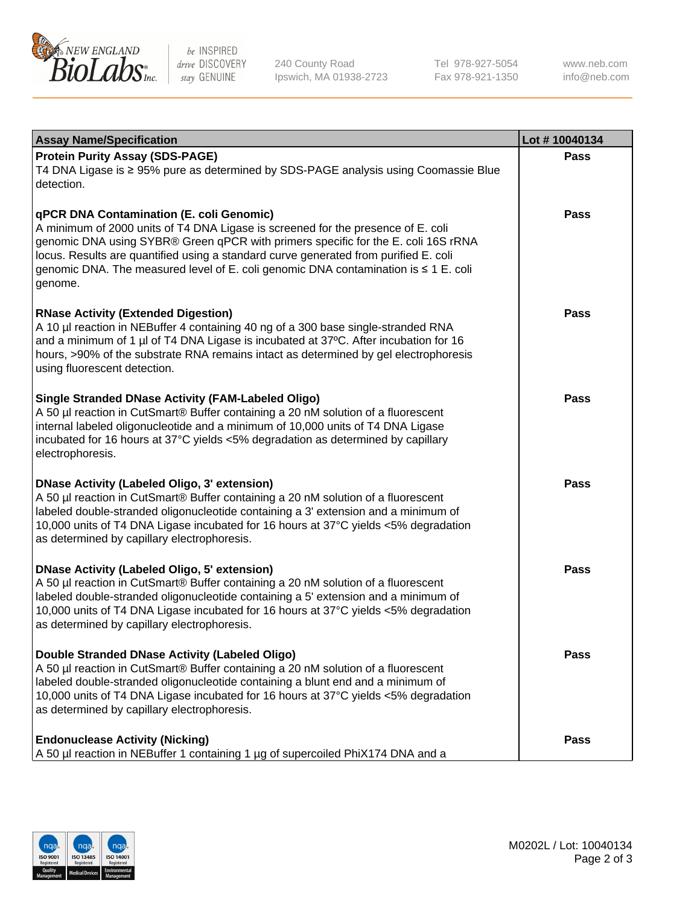

be INSPIRED drive DISCOVERY stay GENUINE

240 County Road Ipswich, MA 01938-2723 Tel 978-927-5054 Fax 978-921-1350

www.neb.com info@neb.com

| <b>Assay Name/Specification</b>                                                                                                                                                                                                                                                                                                                                                                             | Lot #10040134 |
|-------------------------------------------------------------------------------------------------------------------------------------------------------------------------------------------------------------------------------------------------------------------------------------------------------------------------------------------------------------------------------------------------------------|---------------|
| <b>Protein Purity Assay (SDS-PAGE)</b><br>T4 DNA Ligase is ≥ 95% pure as determined by SDS-PAGE analysis using Coomassie Blue<br>detection.                                                                                                                                                                                                                                                                 | Pass          |
| qPCR DNA Contamination (E. coli Genomic)<br>A minimum of 2000 units of T4 DNA Ligase is screened for the presence of E. coli<br>genomic DNA using SYBR® Green qPCR with primers specific for the E. coli 16S rRNA<br>locus. Results are quantified using a standard curve generated from purified E. coli<br>genomic DNA. The measured level of E. coli genomic DNA contamination is ≤ 1 E. coli<br>genome. | Pass          |
| <b>RNase Activity (Extended Digestion)</b><br>A 10 µl reaction in NEBuffer 4 containing 40 ng of a 300 base single-stranded RNA<br>and a minimum of 1 µl of T4 DNA Ligase is incubated at 37°C. After incubation for 16<br>hours, >90% of the substrate RNA remains intact as determined by gel electrophoresis<br>using fluorescent detection.                                                             | <b>Pass</b>   |
| <b>Single Stranded DNase Activity (FAM-Labeled Oligo)</b><br>A 50 µl reaction in CutSmart® Buffer containing a 20 nM solution of a fluorescent<br>internal labeled oligonucleotide and a minimum of 10,000 units of T4 DNA Ligase<br>incubated for 16 hours at 37°C yields <5% degradation as determined by capillary<br>electrophoresis.                                                                   | Pass          |
| <b>DNase Activity (Labeled Oligo, 3' extension)</b><br>A 50 µl reaction in CutSmart® Buffer containing a 20 nM solution of a fluorescent<br>labeled double-stranded oligonucleotide containing a 3' extension and a minimum of<br>10,000 units of T4 DNA Ligase incubated for 16 hours at 37°C yields <5% degradation<br>as determined by capillary electrophoresis.                                        | Pass          |
| <b>DNase Activity (Labeled Oligo, 5' extension)</b><br>A 50 µl reaction in CutSmart® Buffer containing a 20 nM solution of a fluorescent<br>labeled double-stranded oligonucleotide containing a 5' extension and a minimum of<br>10,000 units of T4 DNA Ligase incubated for 16 hours at 37°C yields <5% degradation<br>as determined by capillary electrophoresis.                                        | <b>Pass</b>   |
| Double Stranded DNase Activity (Labeled Oligo)<br>A 50 µl reaction in CutSmart® Buffer containing a 20 nM solution of a fluorescent<br>labeled double-stranded oligonucleotide containing a blunt end and a minimum of<br>10,000 units of T4 DNA Ligase incubated for 16 hours at 37°C yields <5% degradation<br>as determined by capillary electrophoresis.                                                | Pass          |
| <b>Endonuclease Activity (Nicking)</b><br>A 50 µl reaction in NEBuffer 1 containing 1 µg of supercoiled PhiX174 DNA and a                                                                                                                                                                                                                                                                                   | Pass          |